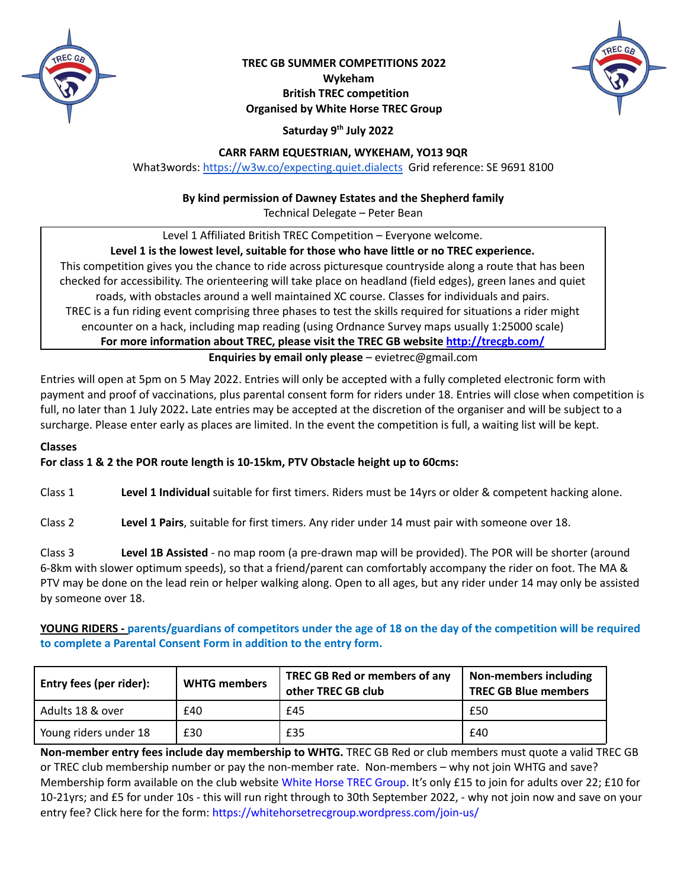

### **TREC GB SUMMER COMPETITIONS 2022 Wykeham British TREC competition Organised by White Horse TREC Group**



## **Saturday 9 th July 2022**

#### **CARR FARM EQUESTRIAN, WYKEHAM, YO13 9QR**

What3words: <https://w3w.co/expecting.quiet.dialects> Grid reference: SE 9691 8100

#### **By kind permission of Dawney Estates and the Shepherd family**

Technical Delegate – Peter Bean

Level 1 Affiliated British TREC Competition – Everyone welcome.

#### **Level 1 is the lowest level, suitable for those who have little or no TREC experience.**

This competition gives you the chance to ride across picturesque countryside along a route that has been checked for accessibility. The orienteering will take place on headland (field edges), green lanes and quiet roads, with obstacles around a well maintained XC course. Classes for individuals and pairs. TREC is a fun riding event comprising three phases to test the skills required for situations a rider might encounter on a hack, including map reading (using Ordnance Survey maps usually 1:25000 scale) **For more information about TREC, please visit the TREC GB website http://trecgb.com/**

**Enquiries by email only please** – evietrec@gmail.com

Entries will open at 5pm on 5 May 2022. Entries will only be accepted with a fully completed electronic form with payment and proof of vaccinations, plus parental consent form for riders under 18. Entries will close when competition is full, no later than 1 July 2022**.** Late entries may be accepted at the discretion of the organiser and will be subject to a surcharge. Please enter early as places are limited. In the event the competition is full, a waiting list will be kept.

#### **Classes**

#### **For class 1 & 2 the POR route length is 10-15km, PTV Obstacle height up to 60cms:**

Class 1 **Level 1 Individual** suitable for first timers. Riders must be 14yrs or older & competent hacking alone.

Class 2 **Level 1 Pairs**, suitable for first timers. Any rider under 14 must pair with someone over 18.

Class 3 **Level 1B Assisted** - no map room (a pre-drawn map will be provided). The POR will be shorter (around 6-8km with slower optimum speeds), so that a friend/parent can comfortably accompany the rider on foot. The MA & PTV may be done on the lead rein or helper walking along. Open to all ages, but any rider under 14 may only be assisted by someone over 18.

YOUNG RIDERS - parents/guardians of competitors under the age of 18 on the day of the competition will be required **to complete a Parental Consent Form in addition to the entry form.**

| Entry fees (per rider): | <b>WHTG members</b> | TREC GB Red or members of any<br>other TREC GB club | Non-members including<br><b>TREC GB Blue members</b> |
|-------------------------|---------------------|-----------------------------------------------------|------------------------------------------------------|
| Adults 18 & over        | £40                 | £45                                                 | £50                                                  |
| Young riders under 18   | £30                 | £35                                                 | £40                                                  |

**Non-member entry fees include day membership to WHTG.** TREC GB Red or club members must quote a valid TREC GB or TREC club membership number or pay the non-member rate. Non-members – why not join WHTG and save? Membership form available on the club website White Horse TREC [Group](https://whitehorsetrecgroup.wordpress.com/). It's only £15 to join for adults over 22; £10 for 10-21yrs; and £5 for under 10s - this will run right through to 30th September 2022, - why not join now and save on your entry fee? Click here for the form: <https://whitehorsetrecgroup.wordpress.com/join-us/>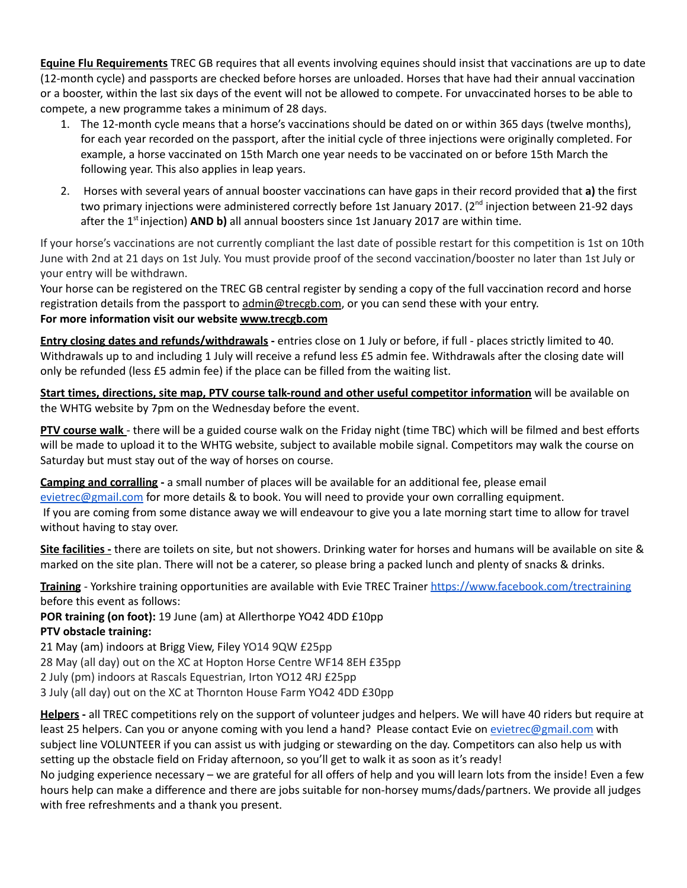**Equine Flu Requirements** TREC GB requires that all events involving equines should insist that vaccinations are up to date (12-month cycle) and passports are checked before horses are unloaded. Horses that have had their annual vaccination or a booster, within the last six days of the event will not be allowed to compete. For unvaccinated horses to be able to compete, a new programme takes a minimum of 28 days.

- 1. The 12-month cycle means that a horse's vaccinations should be dated on or within 365 days (twelve months), for each year recorded on the passport, after the initial cycle of three injections were originally completed. For example, a horse vaccinated on 15th March one year needs to be vaccinated on or before 15th March the following year. This also applies in leap years.
- 2. Horses with several years of annual booster vaccinations can have gaps in their record provided that **a)** the first two primary injections were administered correctly before 1st January 2017. (2<sup>nd</sup> injection between 21-92 days after the 1<sup>st</sup>injection) **AND b)** all annual boosters since 1st January 2017 are within time.

If your horse's vaccinations are not currently compliant the last date of possible restart for this competition is 1st on 10th June with 2nd at 21 days on 1st July. You must provide proof of the second vaccination/booster no later than 1st July or your entry will be withdrawn.

Your horse can be registered on the TREC GB central register by sending a copy of the full vaccination record and horse registration details from the passport to admin@trecgb.com, or you can send these with your entry. **For more information visit our website www.trecgb.com**

**Entry closing dates and refunds/withdrawals -** entries close on 1 July or before, if full - places strictly limited to 40. Withdrawals up to and including 1 July will receive a refund less £5 admin fee. Withdrawals after the closing date will only be refunded (less £5 admin fee) if the place can be filled from the waiting list.

**Start times, directions, site map, PTV course talk-round and other useful competitor information** will be available on the WHTG website by 7pm on the Wednesday before the event.

**PTV course walk** - there will be a guided course walk on the Friday night (time TBC) which will be filmed and best efforts will be made to upload it to the WHTG website, subject to available mobile signal. Competitors may walk the course on Saturday but must stay out of the way of horses on course.

**Camping and corralling -** a small number of places will be available for an additional fee, please email [evietrec@gmail.com](mailto:evietrec@gmail.com) for more details & to book. You will need to provide your own corralling equipment. If you are coming from some distance away we will endeavour to give you a late morning start time to allow for travel without having to stay over.

**Site facilities -** there are toilets on site, but not showers. Drinking water for horses and humans will be available on site & marked on the site plan. There will not be a caterer, so please bring a packed lunch and plenty of snacks & drinks.

**Training** - Yorkshire training opportunities are available with Evie TREC Trainer <https://www.facebook.com/trectraining> before this event as follows:

**POR training (on foot):** 19 June (am) at Allerthorpe YO42 4DD £10pp **PTV obstacle training:**

21 May (am) indoors at Brigg View, Filey YO14 9QW £25pp

28 May (all day) out on the XC at Hopton Horse Centre WF14 8EH £35pp

2 July (pm) indoors at Rascals Equestrian, Irton YO12 4RJ £25pp

3 July (all day) out on the XC at Thornton House Farm YO42 4DD £30pp

**Helpers -** all TREC competitions rely on the support of volunteer judges and helpers. We will have 40 riders but require at least 25 helpers. Can you or anyone coming with you lend a hand? Please contact Evie on [evietrec@gmail.com](mailto:evietrec@gmail.com) with subject line VOLUNTEER if you can assist us with judging or stewarding on the day. Competitors can also help us with setting up the obstacle field on Friday afternoon, so you'll get to walk it as soon as it's ready!

No judging experience necessary – we are grateful for all offers of help and you will learn lots from the inside! Even a few hours help can make a difference and there are jobs suitable for non-horsey mums/dads/partners. We provide all judges with free refreshments and a thank you present.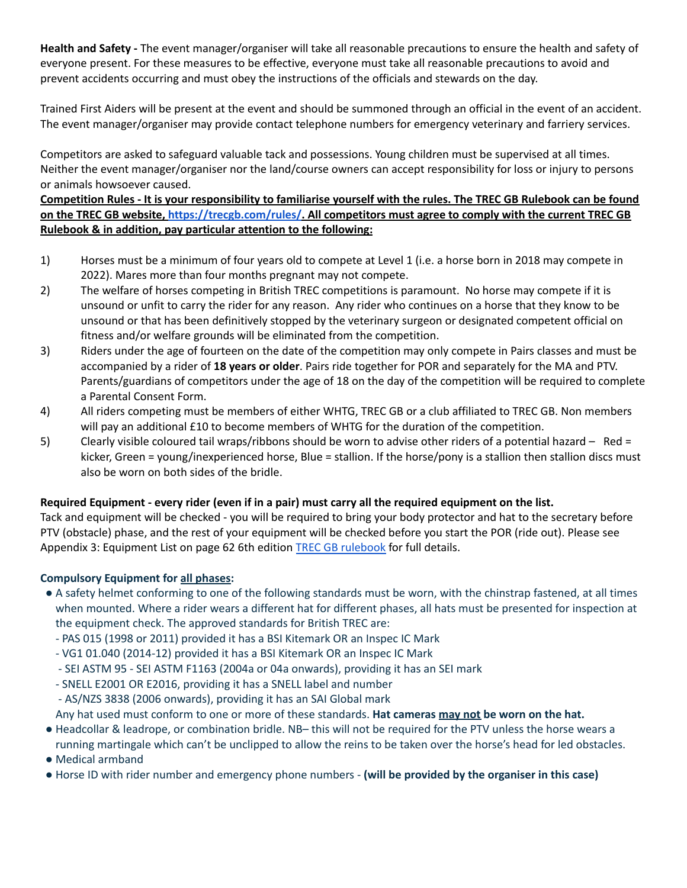**Health and Safety -** The event manager/organiser will take all reasonable precautions to ensure the health and safety of everyone present. For these measures to be effective, everyone must take all reasonable precautions to avoid and prevent accidents occurring and must obey the instructions of the officials and stewards on the day.

Trained First Aiders will be present at the event and should be summoned through an official in the event of an accident. The event manager/organiser may provide contact telephone numbers for emergency veterinary and farriery services.

Competitors are asked to safeguard valuable tack and possessions. Young children must be supervised at all times. Neither the event manager/organiser nor the land/course owners can accept responsibility for loss or injury to persons or animals howsoever caused.

### Competition Rules - It is your responsibility to familiarise yourself with the rules. The TREC GB Rulebook can be found on the TREC GB website, [https://trecgb.com/rules/.](https://trecgb.com/rules/) All competitors must agree to comply with the current TREC GB **Rulebook & in addition, pay particular attention to the following:**

- 1) Horses must be a minimum of four years old to compete at Level 1 (i.e. a horse born in 2018 may compete in 2022). Mares more than four months pregnant may not compete.
- 2) The welfare of horses competing in British TREC competitions is paramount. No horse may compete if it is unsound or unfit to carry the rider for any reason. Any rider who continues on a horse that they know to be unsound or that has been definitively stopped by the veterinary surgeon or designated competent official on fitness and/or welfare grounds will be eliminated from the competition.
- 3) Riders under the age of fourteen on the date of the competition may only compete in Pairs classes and must be accompanied by a rider of **18 years or older**. Pairs ride together for POR and separately for the MA and PTV. Parents/guardians of competitors under the age of 18 on the day of the competition will be required to complete a Parental Consent Form.
- 4) All riders competing must be members of either WHTG, TREC GB or a club affiliated to TREC GB. Non members will pay an additional £10 to become members of WHTG for the duration of the competition.
- 5) Clearly visible coloured tail wraps/ribbons should be worn to advise other riders of a potential hazard Red = kicker, Green = young/inexperienced horse, Blue = stallion. If the horse/pony is a stallion then stallion discs must also be worn on both sides of the bridle.

### Required Equipment - every rider (even if in a pair) must carry all the required equipment on the list.

Tack and equipment will be checked - you will be required to bring your body protector and hat to the secretary before PTV (obstacle) phase, and the rest of your equipment will be checked before you start the POR (ride out). Please see Appendix 3: Equipment List on page 62 6th edition TREC GB [rulebook](https://trecgb.com/wp-content/uploads/6th-edition-Rulebook-1-Feb-2022-Final.pdf) for full details.

### **Compulsory Equipment for all phases:**

- A safety helmet conforming to one of the following standards must be worn, with the chinstrap fastened, at all times when mounted. Where a rider wears a different hat for different phases, all hats must be presented for inspection at the equipment check. The approved standards for British TREC are:
	- PAS 015 (1998 or 2011) provided it has a BSI Kitemark OR an Inspec IC Mark
	- VG1 01.040 (2014-12) provided it has a BSI Kitemark OR an Inspec IC Mark
	- SEI ASTM 95 SEI ASTM F1163 (2004a or 04a onwards), providing it has an SEI mark
	- SNELL E2001 OR E2016, providing it has a SNELL label and number
	- AS/NZS 3838 (2006 onwards), providing it has an SAI Global mark
	- Any hat used must conform to one or more of these standards. **Hat cameras may not be worn on the hat.**
- Headcollar & leadrope, or combination bridle. NB– this will not be required for the PTV unless the horse wears a running martingale which can't be unclipped to allow the reins to be taken over the horse's head for led obstacles.
- Medical armband
- Horse ID with rider number and emergency phone numbers **(will be provided by the organiser in this case)**